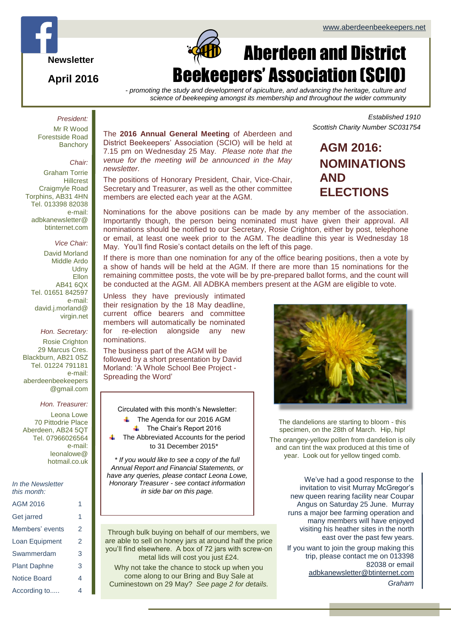*Established 1910*



**April 2016**

# $\Box$ Aberdeen and District Beekeepers' Association (SCIO)

*- promoting the study and development of apiculture, and advancing the heritage, culture and science of beekeeping amongst its membership and throughout the wider community*

#### *President:* Mr R Wood

Forestside Road **Banchory** 

#### *Chair:*

Graham Torrie **Hillcrest** Craigmyle Road Torphins, AB31 4HN Tel. 013398 82038 e-mail: adbkanewsletter@ btinternet.com

#### *Vice Chair:*

David Morland Middle Ardo **Udny Ellon** AB41 6QX Tel. 01651 842597 e-mail: david.j.morland@ virgin.net

#### *Hon. Secretary:* Rosie Crighton 29 Marcus Cres. Blackburn, AB21 0SZ Tel. 01224 791181 e-mail: aberdeenbeekeepers

#### *Hon. Treasurer:*

@gmail.com

Leona Lowe 70 Pittodrie Place Aberdeen, AB24 5QT Tel. 07966026564 e-mail: leonalowe@ hotmail.co.uk

#### *In the Newsletter this month:*

| AGM 2016            |   |
|---------------------|---|
| Get jarred          | 1 |
| Members' events     | 2 |
| Loan Equipment      | 2 |
| Swammerdam          | 3 |
| <b>Plant Daphne</b> | 3 |
| Notice Board        | 4 |
| According to        | 4 |

The **2016 Annual General Meeting** of Aberdeen and District Beekeepers' Association (SCIO) will be held at 7.15 pm on Wednesday 25 May. *Please note that the venue for the meeting will be announced in the May newsletter.*

The positions of Honorary President, Chair, Vice-Chair, Secretary and Treasurer, as well as the other committee members are elected each year at the AGM.

**AGM 2016:**

# **NOMINATIONS AND ELECTIONS**

*Scottish Charity Number SC031754*

Nominations for the above positions can be made by any member of the association. Importantly though, the person being nominated must have given their approval. All nominations should be notified to our Secretary, Rosie Crighton, either by post, telephone or email, at least one week prior to the AGM. The deadline this year is Wednesday 18 May. You'll find Rosie's contact details on the left of this page.

If there is more than one nomination for any of the office bearing positions, then a vote by a show of hands will be held at the AGM. If there are more than 15 nominations for the remaining committee posts, the vote will be by pre-prepared ballot forms, and the count will be conducted at the AGM. All ADBKA members present at the AGM are eligible to vote.

.Unless they have previously intimated their resignation by the 18 May deadline, current office bearers and committee members will automatically be nominated for re-election alongside any new nominations.

The business part of the AGM will be followed by a short presentation by David Morland: 'A Whole School Bee Project - Spreading the Word'

Circulated with this month's Newsletter: The Agenda for our 2016 AGM The Chair's Report 2016 The Abbreviated Accounts for the period to 31 December 2015\*

*\* If you would like to see a copy of the full Annual Report and Financial Statements, or have any queries, please contact Leona Lowe, Honorary Treasurer - see contact information in side bar on this page.*

Through bulk buying on behalf of our members, we are able to sell on honey jars at around half the price you'll find elsewhere. A box of 72 jars with screw-on metal lids will cost you just £24.

Why not take the chance to stock up when you come along to our Bring and Buy Sale at Cuminestown on 29 May? *See page 2 for details.*



The dandelions are starting to bloom - this specimen, on the 28th of March. Hip, hip!

The orangey-yellow pollen from dandelion is oily and can tint the wax produced at this time of year. Look out for yellow tinged comb.

> We've had a good response to the invitation to visit Murray McGregor's new queen rearing facility near Coupar Angus on Saturday 25 June. Murray runs a major bee farming operation and many members will have enjoyed visiting his heather sites in the north east over the past few years.

If you want to join the group making this trip, please contact me on 013398 82038 or email [adbkanewsletter@btinternet.com](mailto:adbkanewsletter@btinternet.com)

*Graham*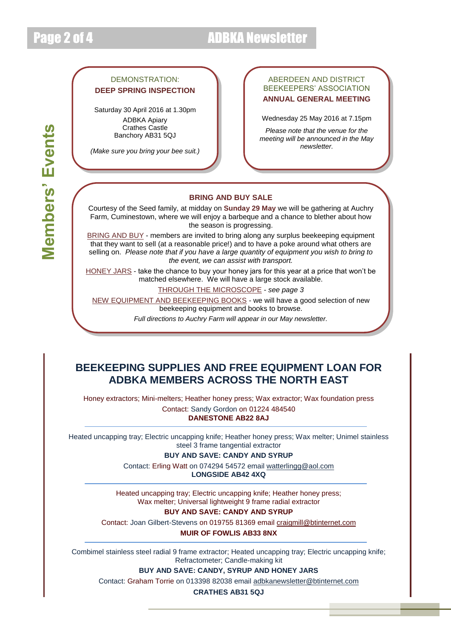# Page 2 of 4 ADBKA Newsletter

#### DEMONSTRATION: **DEEP SPRING INSPECTION**

Saturday 30 April 2016 at 1.30pm ADBKA Apiary Crathes Castle Banchory AB31 5QJ

*(Make sure you bring your bee suit.)*

#### ABERDEEN AND DISTRICT BEEKEEPERS' ASSOCIATION **ANNUAL GENERAL MEETING**

Wednesday 25 May 2016 at 7.15pm

*Please note that the venue for the meeting will be announced in the May newsletter.*

### **BRING AND BUY SALE**

Courtesy of the Seed family, at midday on **Sunday 29 May** we will be gathering at Auchry Farm, Cuminestown, where we will enjoy a barbeque and a chance to blether about how the season is progressing.

BRING AND BUY - members are invited to bring along any surplus beekeeping equipment that they want to sell (at a reasonable price!) and to have a poke around what others are selling on. *Please note that if you have a large quantity of equipment you wish to bring to the event, we can assist with transport.*

HONEY JARS - take the chance to buy your honey jars for this year at a price that won't be matched elsewhere. We will have a large stock available.

THROUGH THE MICROSCOPE - *see page 3*

NEW EQUIPMENT AND BEEKEEPING BOOKS - we will have a good selection of new beekeeping equipment and books to browse.

*Full directions to Auchry Farm will appear in our May newsletter.*

## **BEEKEEPING SUPPLIES AND FREE EQUIPMENT LOAN FOR ADBKA MEMBERS ACROSS THE NORTH EAST**

Honey extractors; Mini-melters; Heather honey press; Wax extractor; Wax foundation press Contact: Sandy Gordon on 01224 484540

#### **DANESTONE AB22 8AJ**

Heated uncapping tray; Electric uncapping knife; Heather honey press; Wax melter; Unimel stainless steel 3 frame tangential extractor

**BUY AND SAVE: CANDY AND SYRUP**

Contact: Erling Watt on 074294 54572 email [watterlingg@aol.com](mailto:watterlingg@aol.com) **LONGSIDE AB42 4XQ**

Heated uncapping tray; Electric uncapping knife; Heather honey press; Wax melter; Universal lightweight 9 frame radial extractor

**BUY AND SAVE: CANDY AND SYRUP**

Contact: Joan Gilbert-Stevens on 019755 81369 email [craigmill@btinternet.com](mailto:craigmill@btinternet.com) **MUIR OF FOWLIS AB33 8NX**

Combimel stainless steel radial 9 frame extractor; Heated uncapping tray; Electric uncapping knife; Refractometer; Candle-making kit

**BUY AND SAVE: CANDY, SYRUP AND HONEY JARS**

Contact: Graham Torrie on 013398 82038 email [adbkanewsletter@btinternet.com](mailto:adbkanewsletter@btinternet.com)

**CRATHES AB31 5QJ**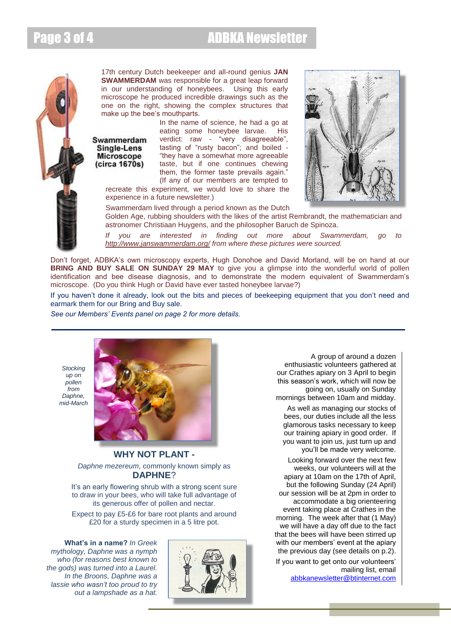## Page 3 of 4 ADBKA Newsletter



17th century Dutch beekeeper and all-round genius **JAN SWAMMERDAM** was responsible for a great leap forward in our understanding of honeybees. Using this early microscope he produced incredible drawings such as the one on the right, showing the complex structures that make up the bee's mouthparts.

Swammerdam Single-Lens **Microscope** (circa 1670s)

In the name of science, he had a go at eating some honeybee larvae. His verdict: raw - "very disagreeable", tasting of "rusty bacon"; and boiled - "they have a somewhat more agreeable taste, but if one continues chewing them, the former taste prevails again." (If any of our members are tempted to



recreate this experiment, we would love to share the experience in a future newsletter.)

Swammerdam lived through a period known as the Dutch Golden Age, rubbing shoulders with the likes of the artist Rembrandt, the mathematician and astronomer Christiaan Huygens, and the philosopher Baruch de Spinoza.

*If you are interested in finding out more about Swammerdam, go to <http://www.janswammerdam.org/> from where these pictures were sourced.*

Don't forget, ADBKA's own microscopy experts, Hugh Donohoe and David Morland, will be on hand at our **BRING AND BUY SALE ON SUNDAY 29 MAY** to give you a glimpse into the wonderful world of pollen identification and bee disease diagnosis, and to demonstrate the modern equivalent of Swammerdam's microscope. (Do you think Hugh or David have ever tasted honeybee larvae?)

If you haven't done it already, look out the bits and pieces of beekeeping equipment that you don't need and earmark them for our Bring and Buy sale.

*See our Members' Events panel on page 2 for more details.*

*Stocking up on pollen from Daphne, mid-March*



#### **WHY NOT PLANT -**

*Daphne mezereum*, commonly known simply as **DAPHNE**?

It's an early flowering shrub with a strong scent sure to draw in your bees, who will take full advantage of its generous offer of pollen and nectar.

Expect to pay £5-£6 for bare root plants and around £20 for a sturdy specimen in a 5 litre pot.

**What's in a name?** *In Greek mythology, Daphne was a nymph who (for reasons best known to the gods) was turned into a Laurel. In the Broons, Daphne was a lassie who wasn't too proud to try out a lampshade as a hat.*



A group of around a dozen enthusiastic volunteers gathered at our Crathes apiary on 3 April to begin this season's work, which will now be going on, usually on Sunday mornings between 10am and midday.

As well as managing our stocks of bees, our duties include all the less glamorous tasks necessary to keep our training apiary in good order. If you want to join us, just turn up and you'll be made very welcome.

Looking forward over the next few weeks, our volunteers will at the apiary at 10am on the 17th of April, but the following Sunday (24 April) our session will be at 2pm in order to accommodate a big orienteering event taking place at Crathes in the morning. The week after that (1 May) we will have a day off due to the fact that the bees will have been stirred up with our members' event at the apiary the previous day (see details on p.2). If you want to get onto our volunteers'

mailing list, email [abbkanewsletter@btinternet.com](mailto:abbkanewsletter@btinternet.com)